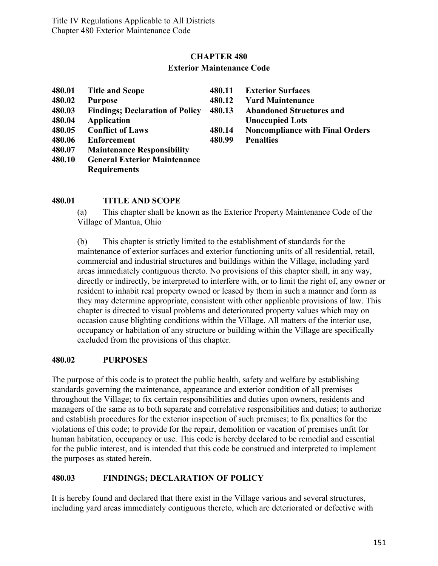## **CHAPTER 480 Exterior Maintenance Code**

| 480.01 | <b>Title and Scope</b>                  | 480.11 | <b>Exterior Surfaces</b>               |
|--------|-----------------------------------------|--------|----------------------------------------|
| 480.02 | <b>Purpose</b>                          | 480.12 | <b>Yard Maintenance</b>                |
| 480.03 | <b>Findings</b> ; Declaration of Policy | 480.13 | <b>Abandoned Structures and</b>        |
| 480.04 | <b>Application</b>                      |        | <b>Unoccupied Lots</b>                 |
| 480.05 | <b>Conflict of Laws</b>                 | 480.14 | <b>Noncompliance with Final Orders</b> |
| 480.06 | <b>Enforcement</b>                      | 480.99 | <b>Penalties</b>                       |
| 480.07 | <b>Maintenance Responsibility</b>       |        |                                        |
| 480.10 | <b>General Exterior Maintenance</b>     |        |                                        |
|        | <b>Requirements</b>                     |        |                                        |

#### **480.01 TITLE AND SCOPE**

(a) This chapter shall be known as the Exterior Property Maintenance Code of the Village of Mantua, Ohio

(b) This chapter is strictly limited to the establishment of standards for the maintenance of exterior surfaces and exterior functioning units of all residential, retail, commercial and industrial structures and buildings within the Village, including yard areas immediately contiguous thereto. No provisions of this chapter shall, in any way, directly or indirectly, be interpreted to interfere with, or to limit the right of, any owner or resident to inhabit real property owned or leased by them in such a manner and form as they may determine appropriate, consistent with other applicable provisions of law. This chapter is directed to visual problems and deteriorated property values which may on occasion cause blighting conditions within the Village. All matters of the interior use, occupancy or habitation of any structure or building within the Village are specifically excluded from the provisions of this chapter.

#### **480.02 PURPOSES**

The purpose of this code is to protect the public health, safety and welfare by establishing standards governing the maintenance, appearance and exterior condition of all premises throughout the Village; to fix certain responsibilities and duties upon owners, residents and managers of the same as to both separate and correlative responsibilities and duties; to authorize and establish procedures for the exterior inspection of such premises; to fix penalties for the violations of this code; to provide for the repair, demolition or vacation of premises unfit for human habitation, occupancy or use. This code is hereby declared to be remedial and essential for the public interest, and is intended that this code be construed and interpreted to implement the purposes as stated herein.

#### **480.03 FINDINGS; DECLARATION OF POLICY**

It is hereby found and declared that there exist in the Village various and several structures, including yard areas immediately contiguous thereto, which are deteriorated or defective with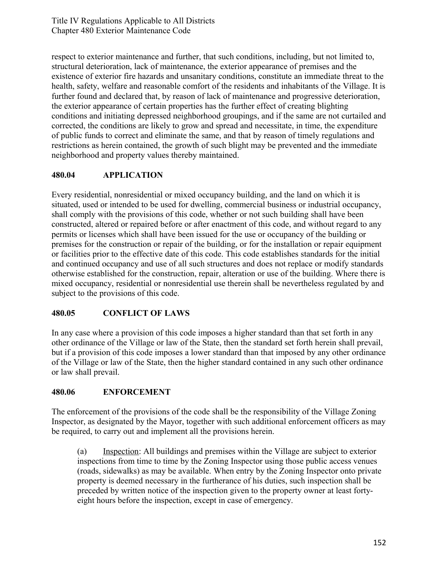Title IV Regulations Applicable to All Districts Chapter 480 Exterior Maintenance Code

respect to exterior maintenance and further, that such conditions, including, but not limited to, structural deterioration, lack of maintenance, the exterior appearance of premises and the existence of exterior fire hazards and unsanitary conditions, constitute an immediate threat to the health, safety, welfare and reasonable comfort of the residents and inhabitants of the Village. It is further found and declared that, by reason of lack of maintenance and progressive deterioration, the exterior appearance of certain properties has the further effect of creating blighting conditions and initiating depressed neighborhood groupings, and if the same are not curtailed and corrected, the conditions are likely to grow and spread and necessitate, in time, the expenditure of public funds to correct and eliminate the same, and that by reason of timely regulations and restrictions as herein contained, the growth of such blight may be prevented and the immediate neighborhood and property values thereby maintained.

## **480.04 APPLICATION**

Every residential, nonresidential or mixed occupancy building, and the land on which it is situated, used or intended to be used for dwelling, commercial business or industrial occupancy, shall comply with the provisions of this code, whether or not such building shall have been constructed, altered or repaired before or after enactment of this code, and without regard to any permits or licenses which shall have been issued for the use or occupancy of the building or premises for the construction or repair of the building, or for the installation or repair equipment or facilities prior to the effective date of this code. This code establishes standards for the initial and continued occupancy and use of all such structures and does not replace or modify standards otherwise established for the construction, repair, alteration or use of the building. Where there is mixed occupancy, residential or nonresidential use therein shall be nevertheless regulated by and subject to the provisions of this code.

## **480.05 CONFLICT OF LAWS**

In any case where a provision of this code imposes a higher standard than that set forth in any other ordinance of the Village or law of the State, then the standard set forth herein shall prevail, but if a provision of this code imposes a lower standard than that imposed by any other ordinance of the Village or law of the State, then the higher standard contained in any such other ordinance or law shall prevail.

## **480.06 ENFORCEMENT**

The enforcement of the provisions of the code shall be the responsibility of the Village Zoning Inspector, as designated by the Mayor, together with such additional enforcement officers as may be required, to carry out and implement all the provisions herein.

(a) Inspection: All buildings and premises within the Village are subject to exterior inspections from time to time by the Zoning Inspector using those public access venues (roads, sidewalks) as may be available. When entry by the Zoning Inspector onto private property is deemed necessary in the furtherance of his duties, such inspection shall be preceded by written notice of the inspection given to the property owner at least fortyeight hours before the inspection, except in case of emergency.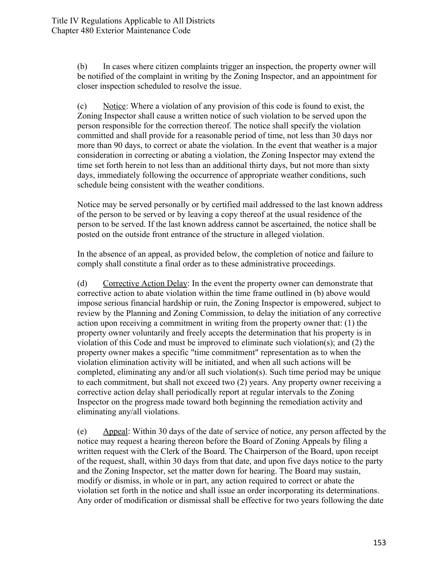(b) In cases where citizen complaints trigger an inspection, the property owner will be notified of the complaint in writing by the Zoning Inspector, and an appointment for closer inspection scheduled to resolve the issue.

(c) Notice: Where a violation of any provision of this code is found to exist, the Zoning Inspector shall cause a written notice of such violation to be served upon the person responsible for the correction thereof. The notice shall specify the violation committed and shall provide for a reasonable period of time, not less than 30 days nor more than 90 days, to correct or abate the violation. In the event that weather is a major consideration in correcting or abating a violation, the Zoning Inspector may extend the time set forth herein to not less than an additional thirty days, but not more than sixty days, immediately following the occurrence of appropriate weather conditions, such schedule being consistent with the weather conditions.

Notice may be served personally or by certified mail addressed to the last known address of the person to be served or by leaving a copy thereof at the usual residence of the person to be served. If the last known address cannot be ascertained, the notice shall be posted on the outside front entrance of the structure in alleged violation.

In the absence of an appeal, as provided below, the completion of notice and failure to comply shall constitute a final order as to these administrative proceedings.

(d) Corrective Action Delay: In the event the property owner can demonstrate that corrective action to abate violation within the time frame outlined in (b) above would impose serious financial hardship or ruin, the Zoning Inspector is empowered, subject to review by the Planning and Zoning Commission, to delay the initiation of any corrective action upon receiving a commitment in writing from the property owner that: (1) the property owner voluntarily and freely accepts the determination that his property is in violation of this Code and must be improved to eliminate such violation(s); and (2) the property owner makes a specific "time commitment" representation as to when the violation elimination activity will be initiated, and when all such actions will be completed, eliminating any and/or all such violation(s). Such time period may be unique to each commitment, but shall not exceed two (2) years. Any property owner receiving a corrective action delay shall periodically report at regular intervals to the Zoning Inspector on the progress made toward both beginning the remediation activity and eliminating any/all violations.

(e) Appeal: Within 30 days of the date of service of notice, any person affected by the notice may request a hearing thereon before the Board of Zoning Appeals by filing a written request with the Clerk of the Board. The Chairperson of the Board, upon receipt of the request, shall, within 30 days from that date, and upon five days notice to the party and the Zoning Inspector, set the matter down for hearing. The Board may sustain, modify or dismiss, in whole or in part, any action required to correct or abate the violation set forth in the notice and shall issue an order incorporating its determinations. Any order of modification or dismissal shall be effective for two years following the date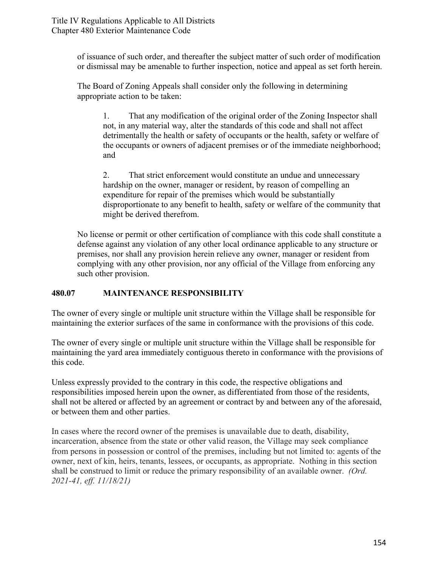of issuance of such order, and thereafter the subject matter of such order of modification or dismissal may be amenable to further inspection, notice and appeal as set forth herein.

The Board of Zoning Appeals shall consider only the following in determining appropriate action to be taken:

1. That any modification of the original order of the Zoning Inspector shall not, in any material way, alter the standards of this code and shall not affect detrimentally the health or safety of occupants or the health, safety or welfare of the occupants or owners of adjacent premises or of the immediate neighborhood; and

2. That strict enforcement would constitute an undue and unnecessary hardship on the owner, manager or resident, by reason of compelling an expenditure for repair of the premises which would be substantially disproportionate to any benefit to health, safety or welfare of the community that might be derived therefrom.

No license or permit or other certification of compliance with this code shall constitute a defense against any violation of any other local ordinance applicable to any structure or premises, nor shall any provision herein relieve any owner, manager or resident from complying with any other provision, nor any official of the Village from enforcing any such other provision.

# **480.07 MAINTENANCE RESPONSIBILITY**

The owner of every single or multiple unit structure within the Village shall be responsible for maintaining the exterior surfaces of the same in conformance with the provisions of this code.

The owner of every single or multiple unit structure within the Village shall be responsible for maintaining the yard area immediately contiguous thereto in conformance with the provisions of this code.

Unless expressly provided to the contrary in this code, the respective obligations and responsibilities imposed herein upon the owner, as differentiated from those of the residents, shall not be altered or affected by an agreement or contract by and between any of the aforesaid, or between them and other parties.

In cases where the record owner of the premises is unavailable due to death, disability, incarceration, absence from the state or other valid reason, the Village may seek compliance from persons in possession or control of the premises, including but not limited to: agents of the owner, next of kin, heirs, tenants, lessees, or occupants, as appropriate. Nothing in this section shall be construed to limit or reduce the primary responsibility of an available owner. *(Ord. 2021-41, eff. 11/18/21)*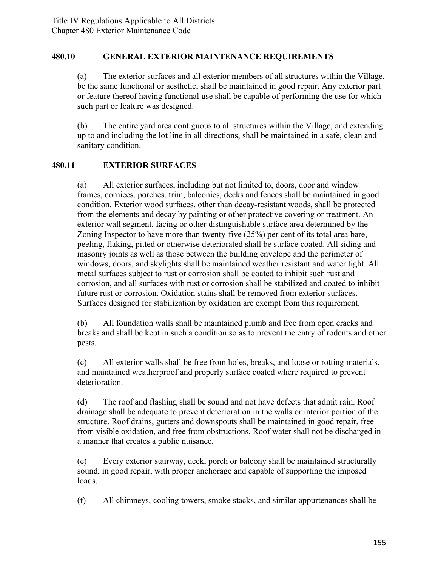#### **480.10 GENERAL EXTERIOR MAINTENANCE REQUIREMENTS**

(a) The exterior surfaces and all exterior members of all structures within the Village, be the same functional or aesthetic, shall be maintained in good repair. Any exterior part or feature thereof having functional use shall be capable of performing the use for which such part or feature was designed.

(b) The entire yard area contiguous to all structures within the Village, and extending up to and including the lot line in all directions, shall be maintained in a safe, clean and sanitary condition.

## **480.11 EXTERIOR SURFACES**

(a) All exterior surfaces, including but not limited to, doors, door and window frames, cornices, porches, trim, balconies, decks and fences shall be maintained in good condition. Exterior wood surfaces, other than decay-resistant woods, shall be protected from the elements and decay by painting or other protective covering or treatment. An exterior wall segment, facing or other distinguishable surface area determined by the Zoning Inspector to have more than twenty-five (25%) per cent of its total area bare, peeling, flaking, pitted or otherwise deteriorated shall be surface coated. All siding and masonry joints as well as those between the building envelope and the perimeter of windows, doors, and skylights shall be maintained weather resistant and water tight. All metal surfaces subject to rust or corrosion shall be coated to inhibit such rust and corrosion, and all surfaces with rust or corrosion shall be stabilized and coated to inhibit future rust or corrosion. Oxidation stains shall be removed from exterior surfaces. Surfaces designed for stabilization by oxidation are exempt from this requirement.

(b) All foundation walls shall be maintained plumb and free from open cracks and breaks and shall be kept in such a condition so as to prevent the entry of rodents and other pests.

(c) All exterior walls shall be free from holes, breaks, and loose or rotting materials, and maintained weatherproof and properly surface coated where required to prevent deterioration.

(d) The roof and flashing shall be sound and not have defects that admit rain. Roof drainage shall be adequate to prevent deterioration in the walls or interior portion of the structure. Roof drains, gutters and downspouts shall be maintained in good repair, free from visible oxidation, and free from obstructions. Roof water shall not be discharged in a manner that creates a public nuisance.

(e) Every exterior stairway, deck, porch or balcony shall be maintained structurally sound, in good repair, with proper anchorage and capable of supporting the imposed loads.

(f) All chimneys, cooling towers, smoke stacks, and similar appurtenances shall be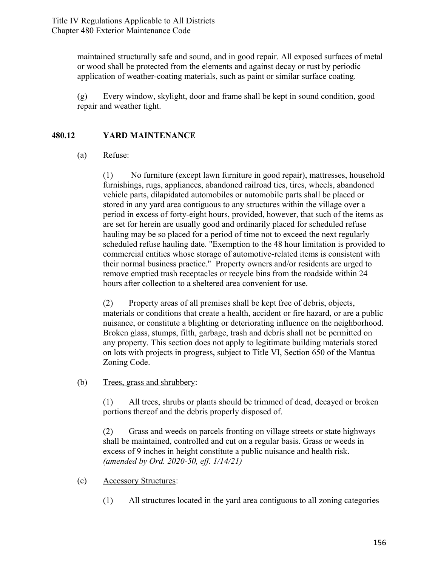maintained structurally safe and sound, and in good repair. All exposed surfaces of metal or wood shall be protected from the elements and against decay or rust by periodic application of weather-coating materials, such as paint or similar surface coating.

(g) Every window, skylight, door and frame shall be kept in sound condition, good repair and weather tight.

# **480.12 YARD MAINTENANCE**

#### (a) Refuse:

(1) No furniture (except lawn furniture in good repair), mattresses, household furnishings, rugs, appliances, abandoned railroad ties, tires, wheels, abandoned vehicle parts, dilapidated automobiles or automobile parts shall be placed or stored in any yard area contiguous to any structures within the village over a period in excess of forty-eight hours, provided, however, that such of the items as are set for herein are usually good and ordinarily placed for scheduled refuse hauling may be so placed for a period of time not to exceed the next regularly scheduled refuse hauling date. "Exemption to the 48 hour limitation is provided to commercial entities whose storage of automotive-related items is consistent with their normal business practice." Property owners and/or residents are urged to remove emptied trash receptacles or recycle bins from the roadside within 24 hours after collection to a sheltered area convenient for use.

(2) Property areas of all premises shall be kept free of debris, objects, materials or conditions that create a health, accident or fire hazard, or are a public nuisance, or constitute a blighting or deteriorating influence on the neighborhood. Broken glass, stumps, filth, garbage, trash and debris shall not be permitted on any property. This section does not apply to legitimate building materials stored on lots with projects in progress, subject to Title VI, Section 650 of the Mantua Zoning Code.

(b) Trees, grass and shrubbery:

(1) All trees, shrubs or plants should be trimmed of dead, decayed or broken portions thereof and the debris properly disposed of.

(2) Grass and weeds on parcels fronting on village streets or state highways shall be maintained, controlled and cut on a regular basis. Grass or weeds in excess of 9 inches in height constitute a public nuisance and health risk. *(amended by Ord. 2020-50, eff. 1/14/21)*

- (c) Accessory Structures:
	- (1) All structures located in the yard area contiguous to all zoning categories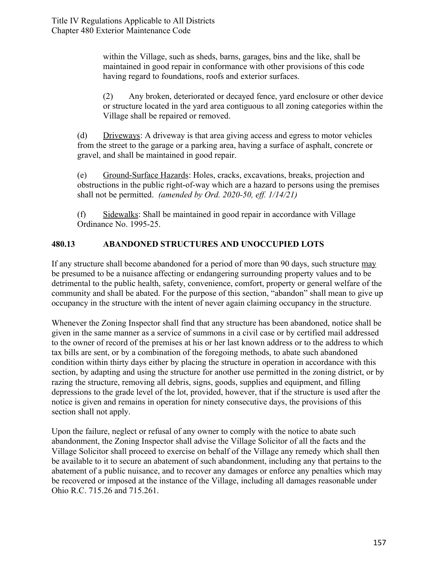within the Village, such as sheds, barns, garages, bins and the like, shall be maintained in good repair in conformance with other provisions of this code having regard to foundations, roofs and exterior surfaces.

(2) Any broken, deteriorated or decayed fence, yard enclosure or other device or structure located in the yard area contiguous to all zoning categories within the Village shall be repaired or removed.

(d) Driveways: A driveway is that area giving access and egress to motor vehicles from the street to the garage or a parking area, having a surface of asphalt, concrete or gravel, and shall be maintained in good repair.

(e) Ground-Surface Hazards: Holes, cracks, excavations, breaks, projection and obstructions in the public right-of-way which are a hazard to persons using the premises shall not be permitted. *(amended by Ord. 2020-50, eff. 1/14/21)*

(f) Sidewalks: Shall be maintained in good repair in accordance with Village Ordinance No. 1995-25.

# **480.13 ABANDONED STRUCTURES AND UNOCCUPIED LOTS**

If any structure shall become abandoned for a period of more than 90 days, such structure may be presumed to be a nuisance affecting or endangering surrounding property values and to be detrimental to the public health, safety, convenience, comfort, property or general welfare of the community and shall be abated. For the purpose of this section, "abandon" shall mean to give up occupancy in the structure with the intent of never again claiming occupancy in the structure.

Whenever the Zoning Inspector shall find that any structure has been abandoned, notice shall be given in the same manner as a service of summons in a civil case or by certified mail addressed to the owner of record of the premises at his or her last known address or to the address to which tax bills are sent, or by a combination of the foregoing methods, to abate such abandoned condition within thirty days either by placing the structure in operation in accordance with this section, by adapting and using the structure for another use permitted in the zoning district, or by razing the structure, removing all debris, signs, goods, supplies and equipment, and filling depressions to the grade level of the lot, provided, however, that if the structure is used after the notice is given and remains in operation for ninety consecutive days, the provisions of this section shall not apply.

Upon the failure, neglect or refusal of any owner to comply with the notice to abate such abandonment, the Zoning Inspector shall advise the Village Solicitor of all the facts and the Village Solicitor shall proceed to exercise on behalf of the Village any remedy which shall then be available to it to secure an abatement of such abandonment, including any that pertains to the abatement of a public nuisance, and to recover any damages or enforce any penalties which may be recovered or imposed at the instance of the Village, including all damages reasonable under Ohio R.C. 715.26 and 715.261.